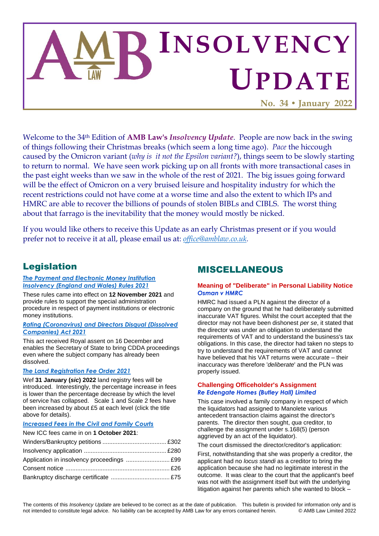

Welcome to the 34th Edition of **AMB Law's** *Insolvency Update*. People are now back in the swing of things following their Christmas breaks (which seem a long time ago). *Pace* the hiccough caused by the Omicron variant (*why is it not the Epsilon variant?*), things seem to be slowly starting to return to normal. We have seen work picking up on all fronts with more transactional cases in the past eight weeks than we saw in the whole of the rest of 2021. The big issues going forward will be the effect of Omicron on a very bruised leisure and hospitality industry for which the recent restrictions could not have come at a worse time and also the extent to which IPs and HMRC are able to recover the billions of pounds of stolen BIBLs and CIBLS. The worst thing about that farrago is the inevitability that the money would mostly be nicked.

If you would like others to receive this Update as an early Christmas present or if you would prefer not to receive it at all, please email us at: *[office@amblaw.co.uk.](mailto:office@amblaw.co.uk)*

### Legislation

### *[The Payment and Electronic Money Institution](payment%20institution%20or%20an%20electronic%20money%20institution)  [Insolvency \(England and Wales\) Rules 2021](payment%20institution%20or%20an%20electronic%20money%20institution)*

These rules came into effect on **12 November 2021** and provide rules to support the special administration procedure in respect of payment institutions or electronic money institutions.

#### *Rating (Coronavirus) and Directors Disqual (Dissolved Companies) Act 2021*

This act received Royal assent on 16 December and enables the Secretary of State to bring CDDA proceedings even where the subject company has already been dissolved.

### *[The Land Registration Fee Order 2021](https://www.gov.uk/government/publications/increase-to-hm-land-registry-fees/fees-review-2021-to-2022)*

Wef **31 January (***sic***) 2022** land registry fees will be introduced. Interestingly, the percentage increase in fees is lower than the percentage decrease by which the level of service has collapsed. Scale 1 and Scale 2 fees have been increased by about £5 at each level (click the title above for details).

#### *Increased [Fees in the Civil and Family Courts](https://www.gov.uk/government/publications/fees-in-the-civil-and-family-courts-main-fees-ex50)*

### New ICC fees came in on **1 October 2021**: Winders/Bankruptcy petitions ...................................... £302 Insolvency application ................................................. £280 Application in insolvency proceedings .......................... £99 Consent notice .............................................................. £26 Bankruptcy discharge certificate ................................... £75

### MISCELLANEOUS

### **Meaning of "Deliberate" in Personal Liability Notice** *Osman v HMRC*

HMRC had issued a PLN against the director of a company on the ground that he had deliberately submitted inaccurate VAT figures. Whilst the court accepted that the director may not have been dishonest *per se*, it stated that the director was under an obligation to understand the requirements of VAT and to understand the business's tax obligations. In this case, the director had taken no steps to try to understand the requirements of VAT and cannot have believed that his VAT returns were accurate – their inaccuracy was therefore '*deliberate*' and the PLN was properly issued.

### **Challenging Officeholder's Assignment** *Re Edengate Homes (Butley Hall) Limited*

This case involved a family company in respect of which the liquidators had assigned to Manolete various antecedent transaction claims against the director's parents. The director then sought, *qua* creditor, to challenge the assignment under s.168(5) (person aggrieved by an act of the liquidator).

The court dismissed the director/creditor's application:

First, notwithstanding that she was properly a creditor, the applicant had no *locus standi* as a creditor to bring the application because she had no legitimate interest in the outcome. It was clear to the court that the applicant's beef was not with the assignment itself but with the underlying litigation against her parents which she wanted to block –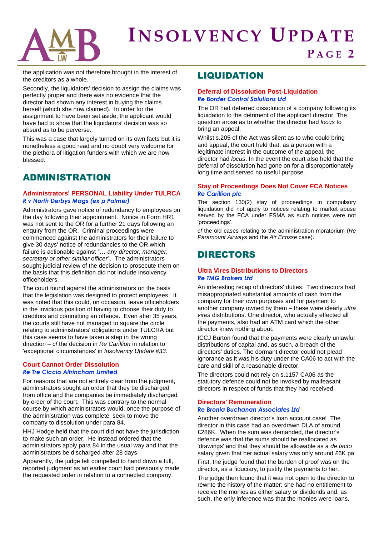# **IN S O L V E N C Y UP D A T E P A G E 2**

the application was not therefore brought in the interest of the creditors as a whole.

Secondly, the liquidators' decision to assign the claims was perfectly proper and there was no evidence that the director had shown any interest in buying the claims herself (which she now claimed). In order for the assignment to have been set aside, the applicant would have had to show that the liquidators' decision was so absurd as to be perverse.

This was a case that largely turned on its own facts but it is nonetheless a good read and no doubt very welcome for the plethora of litigation funders with which we are now blessed.

### ADMINISTRATION

### **Administrators' PERSONAL Liability Under TULRCA** *R v North Derbys Mags (ex p Palmer)*

Administrators gave notice of redundancy to employees on the day following their appointment. Notice in Form HR1 was not sent to the OR for a further 21 days following an enquiry from the OR. Criminal proceedings were commenced against the administrators for their failure to give 30 days' notice of redundancies to the OR which failure is actionable against "… *any director, manager, secretary or other similar officer*". The administrators sought judicial review of the decision to prosecute them on the basis that this definition did not include insolvency officeholders.

The court found against the administrators on the basis that the legislation was designed to protect employees. It was noted that this could, on occasion, leave officeholders in the invidious position of having to choose their duty to creditors and committing an offence. Even after 35 years, the courts still have not managed to square the circle relating to administrators' obligations under TULCRA but this case seems to have taken a step in the wrong direction – *cf* the decision in *Re Carillion* in relation to 'exceptional circumstances' in *Insolvency Update #33.*

### **Court Cannot Order Dissolution** *Re Tre Ciccio Altrincham Limited*

For reasons that are not entirely clear from the judgment, administrators sought an order that they be discharged from office and the companies be immediately discharged by order of the court. This was contrary to the normal course by which administrators would, once the purpose of the administration was complete, seek to move the company to dissolution under para 84.

HHJ Hodge held that the court did not have the jurisdiction to make such an order. He instead ordered that the administrators apply para 84 in the usual way and that the administrators be discharged after 28 days.

Apparently, the judge felt compelled to hand down a full, reported judgment as an earlier court had previously made the requested order in relation to a connected company.

## LIQUIDATION

### **Deferral of Dissolution Post-Liquidation** *Re Border Control Solutions Ltd*

The OR had deferred dissolution of a company following its liquidation to the detriment of the applicant director. The question arose as to whether the director had *locus* to bring an appeal.

Whilst s.205 of the Act was silent as to who could bring and appeal, the court held that, as a person with a legitimate interest in the outcome of the appeal, the director had *locus*. In the event the court also held that the deferral of dissolution had gone on for a disproportionately long time and served no useful purpose.

### **Stay of Proceedings Does Not Cover FCA Notices** *Re Carillion plc*

The section 130(2) stay of proceedings in compulsory liquidation did not apply to notices relating to market abuse served by the FCA under FSMA as such notices were not 'proceedings'.

*cf* the old cases relating to the administration moratorium (*Re Paramount Airways* and the *Air Ecosse* case).

### DIRECTORS

### **Ultra Vires Distributions to Directors** *Re TMG Brokers Ltd*

An interesting recap of directors' duties. Two directors had misappropriated substantial amounts of cash from the company for their own purposes and for payment to another company owned by them – these were clearly *ultra vires* distributions. One director, who actually effected all the payments, also had an ATM card which the other director knew nothing about.

ICCJ Burton found that the payments were clearly unlawful distributions of capital and, as such, a breach of the directors' duties. The dormant director could not plead ignorance as it was his duty under the CA06 to act with the care and skill of a reasonable director.

The directors could not rely on s.1157 CA06 as the statutory defence could not be invoked by malfeasant directors in respect of funds that they had received.

### **Directors' Remuneration**  *Re Bronia Buchanan Associates Ltd*

Another overdrawn director's loan account case! The director in this case had an overdrawn DLA of around £286K. When the sum was demanded, the director's defence was that the sums should be reallocated as 'drawings' and that they should be allowable as a *de facto*  salary given that her actual salary was only around £6K pa.

First, the judge found that the burden of proof was on the director, as a fiduciary, to justify the payments to her.

The judge then found that it was not open to the director to rewrite the history of the matter: she had no entitlement to receive the monies as either salary or dividends and, as such, the only inference was that the monies were loans.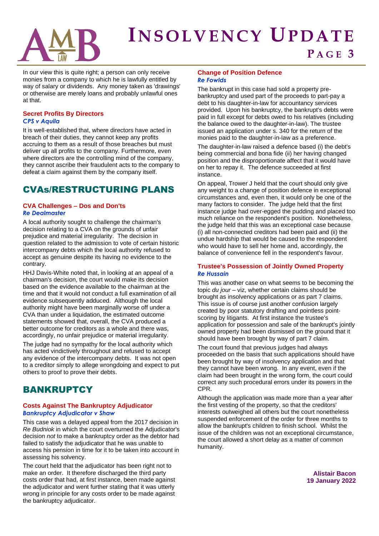

# **IN S O L V E N C Y UP D A T E P A G E 3**

In our view this is quite right; a person can only receive monies from a company to which he is lawfully entitled by way of salary or dividends. Any money taken as 'drawings' or otherwise are merely loans and probably unlawful ones at that.

### **Secret Profits By Directors** *CPS v Aquila*

It is well-established that, where directors have acted in breach of their duties, they cannot keep any profits accruing to them as a result of those breaches but must deliver up all profits to the company. Furthermore, even where directors are the controlling mind of the company, they cannot ascribe their fraudulent acts to the company to defeat a claim against them by the company itself.

### CVAs/RESTRUCTURING PLANS

### **CVA Challenges – Dos and Don'ts** *Re Dealmaster*

A local authority sought to challenge the chairman's decision relating to a CVA on the grounds of unfair prejudice and material irregularity. The decision in question related to the admission to vote of certain historic intercompany debts which the local authority refused to accept as genuine despite its having no evidence to the contrary.

HHJ Davis-White noted that, in looking at an appeal of a chairman's decision, the court would make its decision based on the evidence available to the chairman at the time and that it would not conduct a full examination of all evidence subsequently adduced. Although the local authority might have been marginally worse off under a CVA than under a liquidation, the estimated outcome statements showed that, overall, the CVA produced a better outcome for creditors as a whole and there was, accordingly, no unfair prejudice or material irregularity.

The judge had no sympathy for the local authority which has acted vindictively throughout and refused to accept any evidence of the intercompany debts. It was not open to a creditor simply to allege wrongdoing and expect to put others to proof to prove their debts.

### **BANKRUPTCY**

### **Costs Against The Bankruptcy Adjudicator**  *Bankruptcy Adjudicator v Shaw*

This case was a delayed appeal from the 2017 decision in *Re Budniok* in which the court overturned the Adjudicator's decision *not* to make a bankruptcy order as the debtor had failed to satisfy the adjudicator that he was unable to access his pension in time for it to be taken into account in assessing his solvency.

The court held that the adjudicator has been right not to make an order. It therefore discharged the third party costs order that had, at first instance, been made against the adjudicator and went further stating that it was utterly wrong in principle for any costs order to be made against the bankruptcy adjudicator.

#### **Change of Position Defence** *Re Fowlds*

The bankrupt in this case had sold a property prebankruptcy and used part of the proceeds to part-pay a debt to his daughter-in-law for accountancy services provided. Upon his bankruptcy, the bankrupt's debts were paid in full except for debts owed to his relatives (including the balance owed to the daughter-in-law). The trustee issued an application under s. 340 for the return of the monies paid to the daughter-in-law as a preference.

The daughter-in-law raised a defence based (i) the debt's being commercial and bona fide (ii) her having changed position and the disproportionate affect that it would have on her to repay it. The defence succeeded at first instance.

On appeal, Trower J held that the court should only give any weight to a change of position defence in exceptional circumstances and, even then, it would only be one of the many factors to consider. The judge held that the first instance judge had over-egged the pudding and placed too much reliance on the respondent's position. Nonetheless, the judge held that this was an exceptional case because (i) all non-connected creditors had been paid and (ii) the undue hardship that would be caused to the respondent who would have to sell her home and, accordingly, the balance of convenience fell in the respondent's favour.

### **Trustee's Possession of Jointly Owned Property** *Re Hussain*

This was another case on what seems to be becoming the topic *du jour* – viz, whether certain claims should be brought as insolvency applications or as part 7 claims. This issue is of course just another confusion largely created by poor statutory drafting and pointless pointscoring by litigants. At first instance the trustee's application for possession and sale of the bankrupt's jointly owned property had been dismissed on the ground that it should have been brought by way of part 7 claim.

The court found that previous judges had always proceeded on the basis that such applications should have been brought by way of insolvency application and that they cannot have been wrong. In any event, even if the claim had been brought in the wrong form, the court could correct any such procedural errors under its powers in the CPR.

Although the application was made more than a year after the first vesting of the property, so that the creditors' interests outweighed all others but the court nonetheless suspended enforcement of the order for three months to allow the bankrupt's children to finish school. Whilst the issue of the children was not an exceptional circumstance, the court allowed a short delay as a matter of common humanity.

> **Alistair Bacon 19 January 2022**